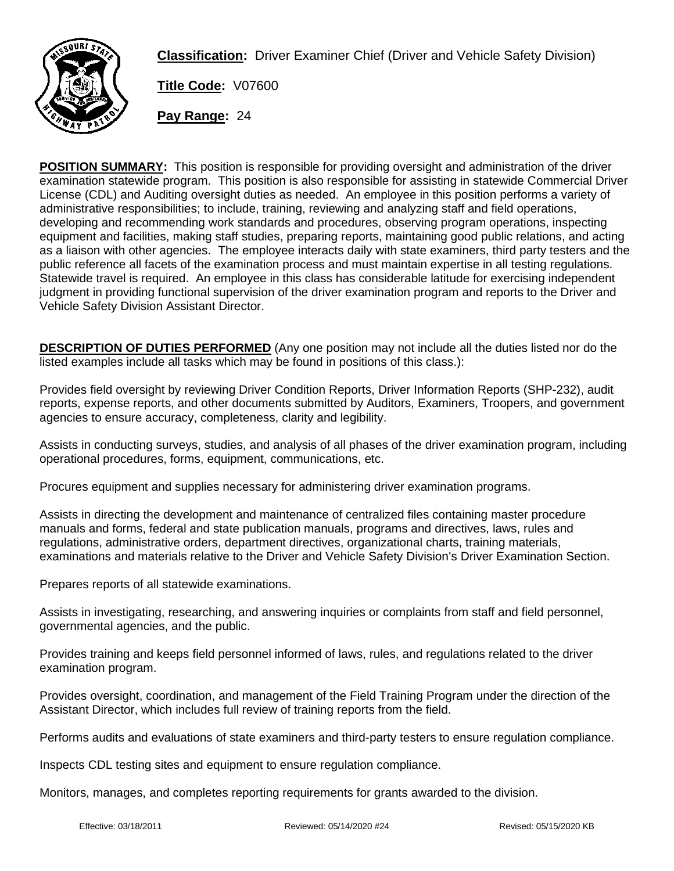

**Classification:** Driver Examiner Chief (Driver and Vehicle Safety Division)

**Title Code:** V07600

**Pay Range:** 24

**POSITION SUMMARY:** This position is responsible for providing oversight and administration of the driver examination statewide program. This position is also responsible for assisting in statewide Commercial Driver License (CDL) and Auditing oversight duties as needed. An employee in this position performs a variety of administrative responsibilities; to include, training, reviewing and analyzing staff and field operations, developing and recommending work standards and procedures, observing program operations, inspecting equipment and facilities, making staff studies, preparing reports, maintaining good public relations, and acting as a liaison with other agencies. The employee interacts daily with state examiners, third party testers and the public reference all facets of the examination process and must maintain expertise in all testing regulations. Statewide travel is required. An employee in this class has considerable latitude for exercising independent judgment in providing functional supervision of the driver examination program and reports to the Driver and Vehicle Safety Division Assistant Director.

**DESCRIPTION OF DUTIES PERFORMED** (Any one position may not include all the duties listed nor do the listed examples include all tasks which may be found in positions of this class.):

Provides field oversight by reviewing Driver Condition Reports, Driver Information Reports (SHP-232), audit reports, expense reports, and other documents submitted by Auditors, Examiners, Troopers, and government agencies to ensure accuracy, completeness, clarity and legibility.

Assists in conducting surveys, studies, and analysis of all phases of the driver examination program, including operational procedures, forms, equipment, communications, etc.

Procures equipment and supplies necessary for administering driver examination programs.

Assists in directing the development and maintenance of centralized files containing master procedure manuals and forms, federal and state publication manuals, programs and directives, laws, rules and regulations, administrative orders, department directives, organizational charts, training materials, examinations and materials relative to the Driver and Vehicle Safety Division's Driver Examination Section.

Prepares reports of all statewide examinations.

Assists in investigating, researching, and answering inquiries or complaints from staff and field personnel, governmental agencies, and the public.

Provides training and keeps field personnel informed of laws, rules, and regulations related to the driver examination program.

Provides oversight, coordination, and management of the Field Training Program under the direction of the Assistant Director, which includes full review of training reports from the field.

Performs audits and evaluations of state examiners and third-party testers to ensure regulation compliance.

Inspects CDL testing sites and equipment to ensure regulation compliance.

Monitors, manages, and completes reporting requirements for grants awarded to the division.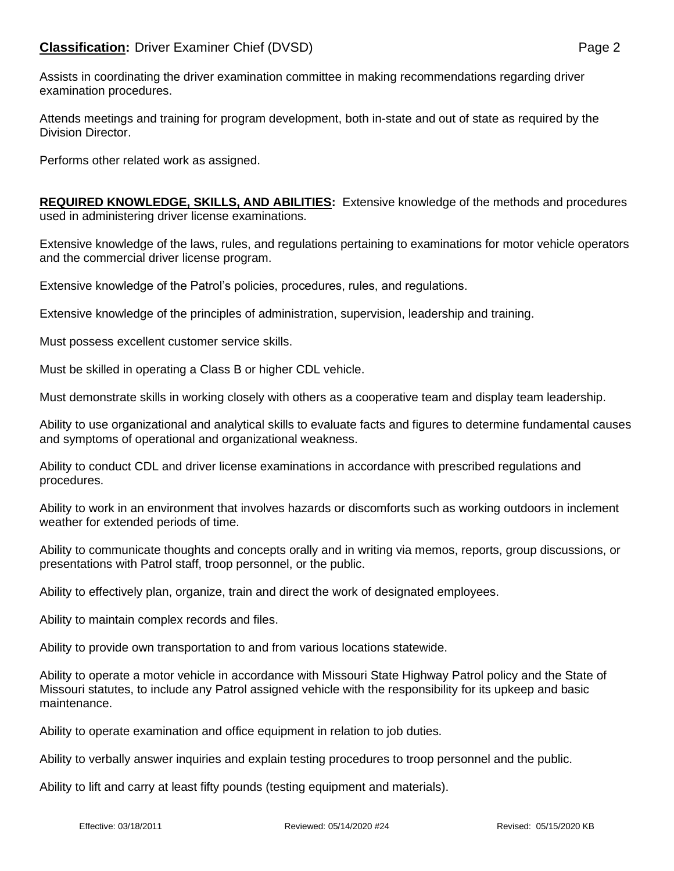Assists in coordinating the driver examination committee in making recommendations regarding driver examination procedures.

Attends meetings and training for program development, both in-state and out of state as required by the Division Director.

Performs other related work as assigned.

**REQUIRED KNOWLEDGE, SKILLS, AND ABILITIES:** Extensive knowledge of the methods and procedures used in administering driver license examinations.

Extensive knowledge of the laws, rules, and regulations pertaining to examinations for motor vehicle operators and the commercial driver license program.

Extensive knowledge of the Patrol's policies, procedures, rules, and regulations.

Extensive knowledge of the principles of administration, supervision, leadership and training.

Must possess excellent customer service skills.

Must be skilled in operating a Class B or higher CDL vehicle.

Must demonstrate skills in working closely with others as a cooperative team and display team leadership.

Ability to use organizational and analytical skills to evaluate facts and figures to determine fundamental causes and symptoms of operational and organizational weakness.

Ability to conduct CDL and driver license examinations in accordance with prescribed regulations and procedures.

Ability to work in an environment that involves hazards or discomforts such as working outdoors in inclement weather for extended periods of time.

Ability to communicate thoughts and concepts orally and in writing via memos, reports, group discussions, or presentations with Patrol staff, troop personnel, or the public.

Ability to effectively plan, organize, train and direct the work of designated employees.

Ability to maintain complex records and files.

Ability to provide own transportation to and from various locations statewide.

Ability to operate a motor vehicle in accordance with Missouri State Highway Patrol policy and the State of Missouri statutes, to include any Patrol assigned vehicle with the responsibility for its upkeep and basic maintenance.

Ability to operate examination and office equipment in relation to job duties.

Ability to verbally answer inquiries and explain testing procedures to troop personnel and the public.

Ability to lift and carry at least fifty pounds (testing equipment and materials).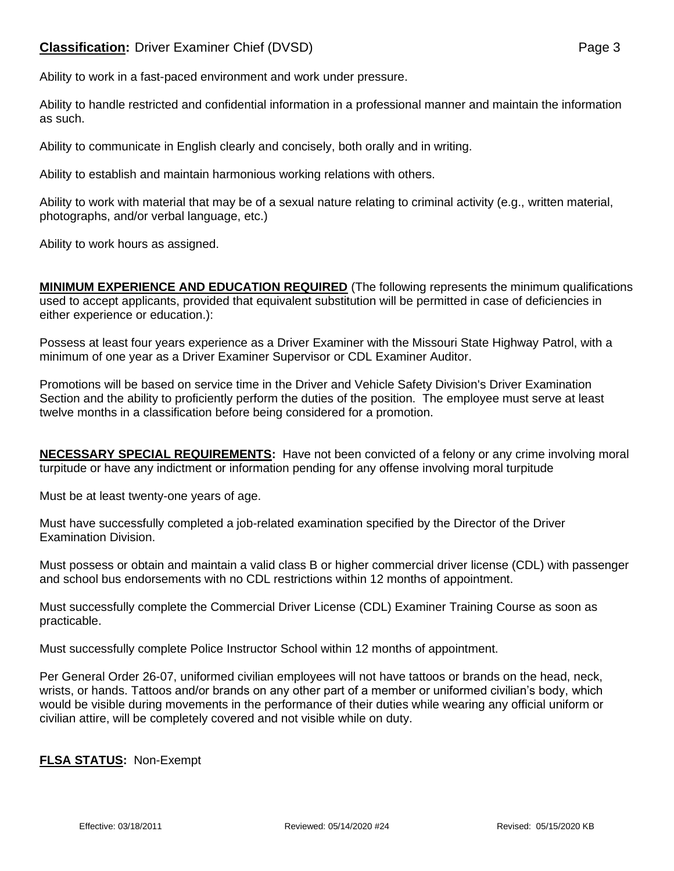## **Classification:** Driver Examiner Chief (DVSD) **Page 3** Page 3

Ability to work in a fast-paced environment and work under pressure.

Ability to handle restricted and confidential information in a professional manner and maintain the information as such.

Ability to communicate in English clearly and concisely, both orally and in writing.

Ability to establish and maintain harmonious working relations with others.

Ability to work with material that may be of a sexual nature relating to criminal activity (e.g., written material, photographs, and/or verbal language, etc.)

Ability to work hours as assigned.

**MINIMUM EXPERIENCE AND EDUCATION REQUIRED** (The following represents the minimum qualifications used to accept applicants, provided that equivalent substitution will be permitted in case of deficiencies in either experience or education.):

Possess at least four years experience as a Driver Examiner with the Missouri State Highway Patrol, with a minimum of one year as a Driver Examiner Supervisor or CDL Examiner Auditor.

Promotions will be based on service time in the Driver and Vehicle Safety Division's Driver Examination Section and the ability to proficiently perform the duties of the position. The employee must serve at least twelve months in a classification before being considered for a promotion.

**NECESSARY SPECIAL REQUIREMENTS:** Have not been convicted of a felony or any crime involving moral turpitude or have any indictment or information pending for any offense involving moral turpitude

Must be at least twenty-one years of age.

Must have successfully completed a job-related examination specified by the Director of the Driver Examination Division.

Must possess or obtain and maintain a valid class B or higher commercial driver license (CDL) with passenger and school bus endorsements with no CDL restrictions within 12 months of appointment.

Must successfully complete the Commercial Driver License (CDL) Examiner Training Course as soon as practicable.

Must successfully complete Police Instructor School within 12 months of appointment.

Per General Order 26-07, uniformed civilian employees will not have tattoos or brands on the head, neck, wrists, or hands. Tattoos and/or brands on any other part of a member or uniformed civilian's body, which would be visible during movements in the performance of their duties while wearing any official uniform or civilian attire, will be completely covered and not visible while on duty.

## **FLSA STATUS:** Non-Exempt